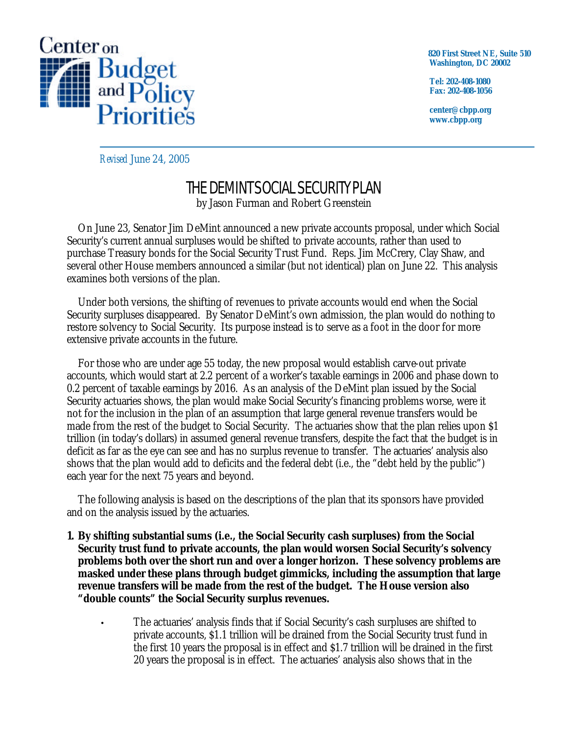

 **820 First Street NE, Suite 510 Washington, DC 20002**

**Tel: 202-408-1080 Fax: 202-408-1056**

**center@cbpp.org www.cbpp.org**

*Revised* June 24, 2005

# THE DEMINT SOCIAL SECURITY PLAN by Jason Furman and Robert Greenstein

On June 23, Senator Jim DeMint announced a new private accounts proposal, under which Social Security's current annual surpluses would be shifted to private accounts, rather than used to purchase Treasury bonds for the Social Security Trust Fund. Reps. Jim McCrery, Clay Shaw, and several other House members announced a similar (but not identical) plan on June 22. This analysis examines both versions of the plan.

Under both versions, the shifting of revenues to private accounts would end when the Social Security surpluses disappeared. By Senator DeMint's own admission, the plan would do nothing to restore solvency to Social Security. Its purpose instead is to serve as a foot in the door for more extensive private accounts in the future.

For those who are under age 55 today, the new proposal would establish carve-out private accounts, which would start at 2.2 percent of a worker's taxable earnings in 2006 and phase down to 0.2 percent of taxable earnings by 2016. As an analysis of the DeMint plan issued by the Social Security actuaries shows, the plan would make Social Security's financing problems worse, were it not for the inclusion in the plan of an assumption that large general revenue transfers would be made from the rest of the budget to Social Security. The actuaries show that the plan relies upon \$1 trillion (in today's dollars) in assumed general revenue transfers, despite the fact that the budget is in deficit as far as the eye can see and has no surplus revenue to transfer. The actuaries' analysis also shows that the plan would add to deficits and the federal debt (i.e., the "debt held by the public") each year for the next 75 years and beyond.

The following analysis is based on the descriptions of the plan that its sponsors have provided and on the analysis issued by the actuaries.

- **1. By shifting substantial sums (i.e., the Social Security cash surpluses) from the Social Security trust fund to private accounts, the plan would worsen Social Security's solvency problems both over the short run and over a longer horizon. These solvency problems are masked under these plans through budget gimmicks, including the assumption that large revenue transfers will be made from the rest of the budget. The House version also "double counts" the Social Security surplus revenues.** 
	- **·** The actuaries' analysis finds that if Social Security's cash surpluses are shifted to private accounts, \$1.1 trillion will be drained from the Social Security trust fund in the first 10 years the proposal is in effect and \$1.7 trillion will be drained in the first 20 years the proposal is in effect. The actuaries' analysis also shows that in the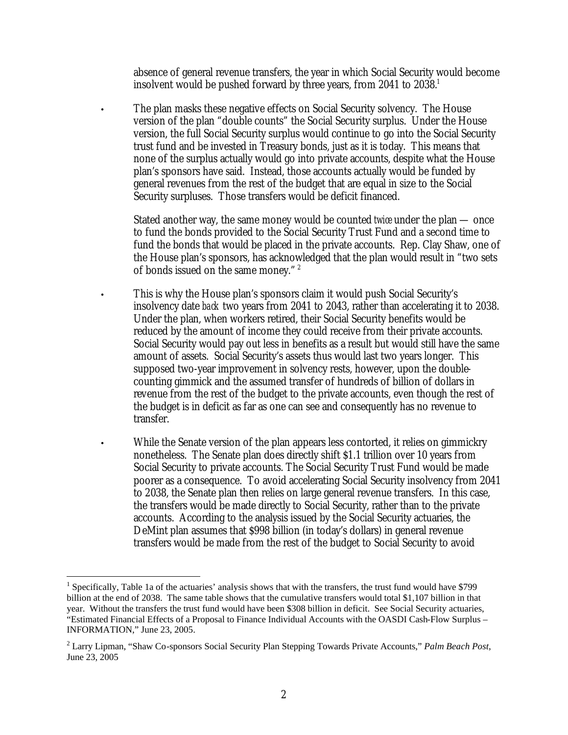absence of general revenue transfers, the year in which Social Security would become insolvent would be pushed forward by three years, from 2041 to 2038.<sup>1</sup>

**·** The plan masks these negative effects on Social Security solvency. The House version of the plan "double counts" the Social Security surplus. Under the House version, the full Social Security surplus would continue to go into the Social Security trust fund and be invested in Treasury bonds, just as it is today. This means that none of the surplus actually would go into private accounts, despite what the House plan's sponsors have said. Instead, those accounts actually would be funded by general revenues from the rest of the budget that are equal in size to the Social Security surpluses. Those transfers would be deficit financed.

Stated another way, the same money would be counted *twice* under the plan — once to fund the bonds provided to the Social Security Trust Fund and a second time to fund the bonds that would be placed in the private accounts. Rep. Clay Shaw, one of the House plan's sponsors, has acknowledged that the plan would result in "two sets of bonds issued on the same money." <sup>2</sup>

- This is why the House plan's sponsors claim it would push Social Security's insolvency date *back* two years from 2041 to 2043, rather than accelerating it to 2038. Under the plan, when workers retired, their Social Security benefits would be reduced by the amount of income they could receive from their private accounts. Social Security would pay out less in benefits as a result but would still have the same amount of assets. Social Security's assets thus would last two years longer. This supposed two-year improvement in solvency rests, however, upon the doublecounting gimmick and the assumed transfer of hundreds of billion of dollars in revenue from the rest of the budget to the private accounts, even though the rest of the budget is in deficit as far as one can see and consequently has no revenue to transfer.
	- **·** While the Senate version of the plan appears less contorted, it relies on gimmickry nonetheless. The Senate plan does directly shift \$1.1 trillion over 10 years from Social Security to private accounts. The Social Security Trust Fund would be made poorer as a consequence. To avoid accelerating Social Security insolvency from 2041 to 2038, the Senate plan then relies on large general revenue transfers. In this case, the transfers would be made directly to Social Security, rather than to the private accounts. According to the analysis issued by the Social Security actuaries, the DeMint plan assumes that \$998 billion (in today's dollars) in general revenue transfers would be made from the rest of the budget to Social Security to avoid

<sup>&</sup>lt;u>.</u> <sup>1</sup> Specifically, Table 1a of the actuaries' analysis shows that with the transfers, the trust fund would have \$799 billion at the end of 2038. The same table shows that the cumulative transfers would total \$1,107 billion in that year. Without the transfers the trust fund would have been \$308 billion in deficit. See Social Security actuaries, "Estimated Financial Effects of a Proposal to Finance Individual Accounts with the OASDI Cash-Flow Surplus – INFORMATION," June 23, 2005.

<sup>2</sup> Larry Lipman, "Shaw Co-sponsors Social Security Plan Stepping Towards Private Accounts," *Palm Beach Post*, June 23, 2005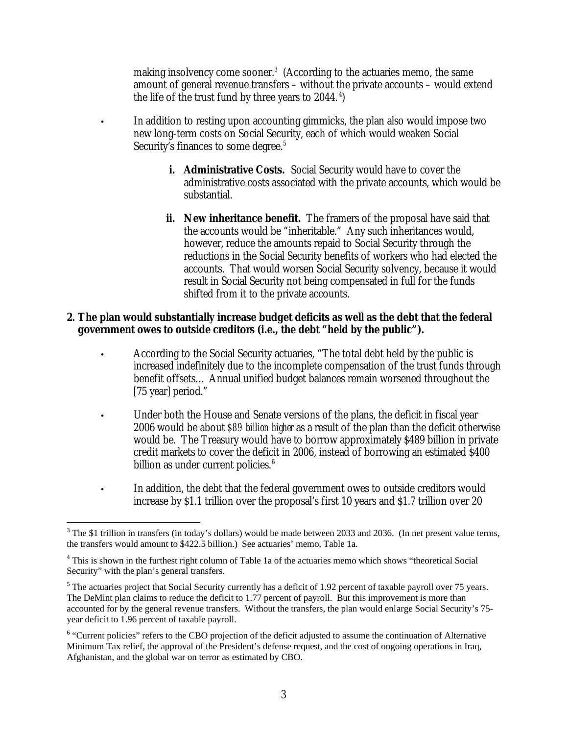making insolvency come sooner.<sup>3</sup> (According to the actuaries memo, the same amount of general revenue transfers – without the private accounts – would extend the life of the trust fund by three years to 2044.<sup>4</sup>)

- **·** In addition to resting upon accounting gimmicks, the plan also would impose two new long-term costs on Social Security, each of which would weaken Social Security's finances to some degree.<sup>5</sup>
	- **i. Administrative Costs.** Social Security would have to cover the administrative costs associated with the private accounts, which would be substantial.
	- **ii. New inheritance benefit.** The framers of the proposal have said that the accounts would be "inheritable." Any such inheritances would, however, reduce the amounts repaid to Social Security through the reductions in the Social Security benefits of workers who had elected the accounts. That would worsen Social Security solvency, because it would result in Social Security not being compensated in full for the funds shifted from it to the private accounts.

### **2. The plan would substantially increase budget deficits as well as the debt that the federal government owes to outside creditors (i.e., the debt "held by the public").**

- **·** According to the Social Security actuaries, "The total debt held by the public is increased indefinitely due to the incomplete compensation of the trust funds through benefit offsets… Annual unified budget balances remain worsened throughout the [75 year] period."
- Under both the House and Senate versions of the plans, the deficit in fiscal year 2006 would be about *\$89 billion higher* as a result of the plan than the deficit otherwise would be. The Treasury would have to borrow approximately \$489 billion in private credit markets to cover the deficit in 2006, instead of borrowing an estimated \$400 billion as under current policies. $6$
- **·** In addition, the debt that the federal government owes to outside creditors would increase by \$1.1 trillion over the proposal's first 10 years and \$1.7 trillion over 20

<u>.</u>

 $3$  The \$1 trillion in transfers (in today's dollars) would be made between 2033 and 2036. (In net present value terms, the transfers would amount to \$422.5 billion.) See actuaries' memo, Table 1a.

<sup>&</sup>lt;sup>4</sup> This is shown in the furthest right column of Table 1a of the actuaries memo which shows "theoretical Social Security" with the plan's general transfers.

 $<sup>5</sup>$  The actuaries project that Social Security currently has a deficit of 1.92 percent of taxable payroll over 75 years.</sup> The DeMint plan claims to reduce the deficit to 1.77 percent of payroll. But this improvement is more than accounted for by the general revenue transfers. Without the transfers, the plan would enlarge Social Security's 75 year deficit to 1.96 percent of taxable payroll.

<sup>&</sup>lt;sup>6</sup> "Current policies" refers to the CBO projection of the deficit adjusted to assume the continuation of Alternative Minimum Tax relief, the approval of the President's defense request, and the cost of ongoing operations in Iraq, Afghanistan, and the global war on terror as estimated by CBO.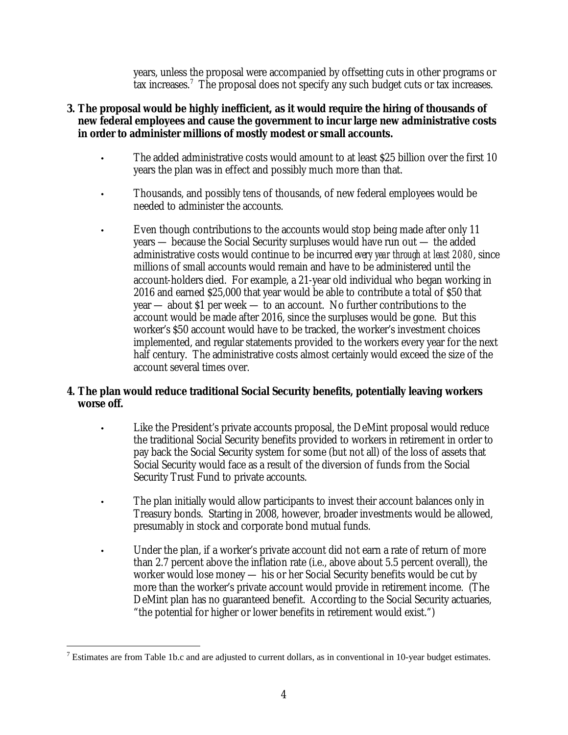years, unless the proposal were accompanied by offsetting cuts in other programs or tax increases.<sup>7</sup> The proposal does not specify any such budget cuts or tax increases.

## **3. The proposal would be highly inefficient, as it would require the hiring of thousands of new federal employees and cause the government to incur large new administrative costs in order to administer millions of mostly modest or small accounts.**

- The added administrative costs would amount to at least \$25 billion over the first 10 years the plan was in effect and possibly much more than that.
- Thousands, and possibly tens of thousands, of new federal employees would be needed to administer the accounts.
- Even though contributions to the accounts would stop being made after only 11 years — because the Social Security surpluses would have run out — the added administrative costs would continue to be incurred *every year through at least 2080*, since millions of small accounts would remain and have to be administered until the account-holders died. For example, a 21-year old individual who began working in 2016 and earned \$25,000 that year would be able to contribute a total of \$50 that year — about \$1 per week — to an account. No further contributions to the account would be made after 2016, since the surpluses would be gone. But this worker's \$50 account would have to be tracked, the worker's investment choices implemented, and regular statements provided to the workers every year for the next half century. The administrative costs almost certainly would exceed the size of the account several times over.

# **4. The plan would reduce traditional Social Security benefits, potentially leaving workers worse off.**

- Like the President's private accounts proposal, the DeMint proposal would reduce the traditional Social Security benefits provided to workers in retirement in order to pay back the Social Security system for some (but not all) of the loss of assets that Social Security would face as a result of the diversion of funds from the Social Security Trust Fund to private accounts.
- The plan initially would allow participants to invest their account balances only in Treasury bonds. Starting in 2008, however, broader investments would be allowed, presumably in stock and corporate bond mutual funds.
- Under the plan, if a worker's private account did not earn a rate of return of more than 2.7 percent above the inflation rate (i.e., above about 5.5 percent overall), the worker would lose money — his or her Social Security benefits would be cut by more than the worker's private account would provide in retirement income. (The DeMint plan has no guaranteed benefit. According to the Social Security actuaries, "the potential for higher or lower benefits in retirement would exist.")

 $\overline{a}$ <sup>7</sup> Estimates are from Table 1b.c and are adjusted to current dollars, as in conventional in 10-year budget estimates.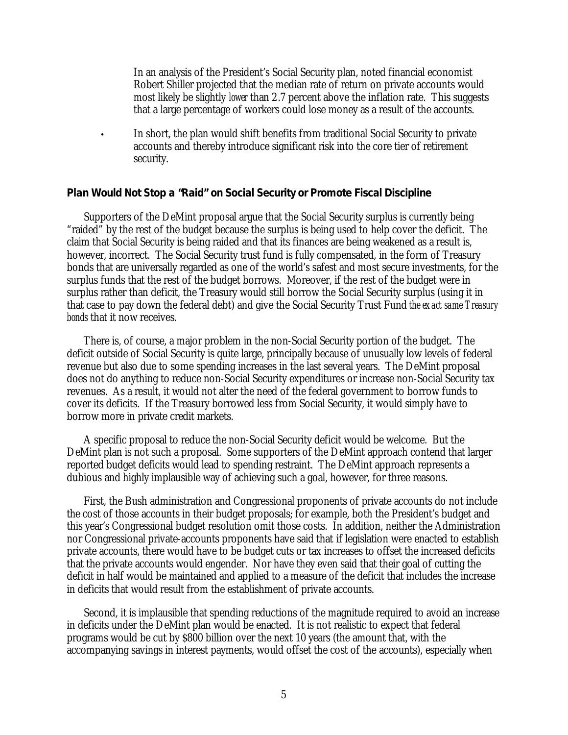In an analysis of the President's Social Security plan, noted financial economist Robert Shiller projected that the median rate of return on private accounts would most likely be slightly *lower* than 2.7 percent above the inflation rate. This suggests that a large percentage of workers could lose money as a result of the accounts.

In short, the plan would shift benefits from traditional Social Security to private accounts and thereby introduce significant risk into the core tier of retirement security.

### **Plan Would Not Stop a "Raid" on Social Security or Promote Fiscal Discipline**

Supporters of the DeMint proposal argue that the Social Security surplus is currently being "raided" by the rest of the budget because the surplus is being used to help cover the deficit. The claim that Social Security is being raided and that its finances are being weakened as a result is, however, incorrect. The Social Security trust fund is fully compensated, in the form of Treasury bonds that are universally regarded as one of the world's safest and most secure investments, for the surplus funds that the rest of the budget borrows. Moreover, if the rest of the budget were in surplus rather than deficit, the Treasury would still borrow the Social Security surplus (using it in that case to pay down the federal debt) and give the Social Security Trust Fund *the exact same Treasury bonds* that it now receives.

There is, of course, a major problem in the non-Social Security portion of the budget. The deficit outside of Social Security is quite large, principally because of unusually low levels of federal revenue but also due to some spending increases in the last several years. The DeMint proposal does not do anything to reduce non-Social Security expenditures or increase non-Social Security tax revenues. As a result, it would not alter the need of the federal government to borrow funds to cover its deficits. If the Treasury borrowed less from Social Security, it would simply have to borrow more in private credit markets.

A specific proposal to reduce the non-Social Security deficit would be welcome. But the DeMint plan is not such a proposal. Some supporters of the DeMint approach contend that larger reported budget deficits would lead to spending restraint. The DeMint approach represents a dubious and highly implausible way of achieving such a goal, however, for three reasons.

First, the Bush administration and Congressional proponents of private accounts do not include the cost of those accounts in their budget proposals; for example, both the President's budget and this year's Congressional budget resolution omit those costs. In addition, neither the Administration nor Congressional private-accounts proponents have said that if legislation were enacted to establish private accounts, there would have to be budget cuts or tax increases to offset the increased deficits that the private accounts would engender. Nor have they even said that their goal of cutting the deficit in half would be maintained and applied to a measure of the deficit that includes the increase in deficits that would result from the establishment of private accounts.

Second, it is implausible that spending reductions of the magnitude required to avoid an increase in deficits under the DeMint plan would be enacted. It is not realistic to expect that federal programs would be cut by \$800 billion over the next 10 years (the amount that, with the accompanying savings in interest payments, would offset the cost of the accounts), especially when